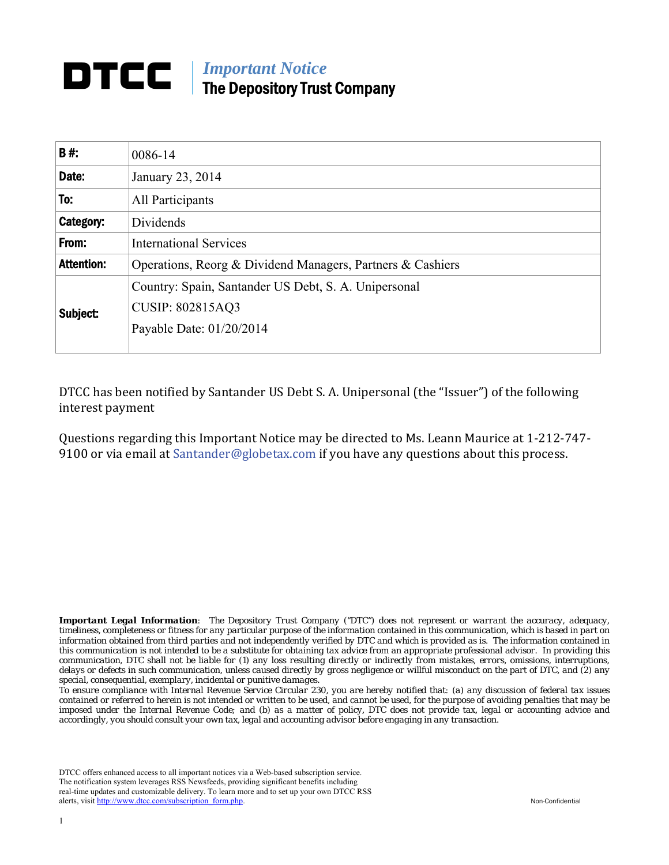## *Important Notice*  DTCC The Depository Trust Company

| <b>B#:</b>        | 0086-14                                                                                                     |  |  |
|-------------------|-------------------------------------------------------------------------------------------------------------|--|--|
| Date:             | January 23, 2014                                                                                            |  |  |
| To:               | All Participants                                                                                            |  |  |
| Category:         | Dividends                                                                                                   |  |  |
| From:             | <b>International Services</b>                                                                               |  |  |
| <b>Attention:</b> | Operations, Reorg & Dividend Managers, Partners & Cashiers                                                  |  |  |
| Subject:          | Country: Spain, Santander US Debt, S. A. Unipersonal<br><b>CUSIP: 802815AQ3</b><br>Payable Date: 01/20/2014 |  |  |

DTCC has been notified by Santander US Debt S. A. Unipersonal (the "Issuer") of the following interest payment

Questions regarding this Important Notice may be directed to Ms. Leann Maurice at 1-212-747-9100 or via email at Santander@globetax.com if you have any questions about this process.

*Important Legal Information: The Depository Trust Company ("DTC") does not represent or warrant the accuracy, adequacy, timeliness, completeness or fitness for any particular purpose of the information contained in this communication, which is based in part on information obtained from third parties and not independently verified by DTC and which is provided as is. The information contained in this communication is not intended to be a substitute for obtaining tax advice from an appropriate professional advisor. In providing this communication, DTC shall not be liable for (1) any loss resulting directly or indirectly from mistakes, errors, omissions, interruptions, delays or defects in such communication, unless caused directly by gross negligence or willful misconduct on the part of DTC, and (2) any special, consequential, exemplary, incidental or punitive damages.* 

*To ensure compliance with Internal Revenue Service Circular 230, you are hereby notified that: (a) any discussion of federal tax issues contained or referred to herein is not intended or written to be used, and cannot be used, for the purpose of avoiding penalties that may be imposed under the Internal Revenue Code; and (b) as a matter of policy, DTC does not provide tax, legal or accounting advice and accordingly, you should consult your own tax, legal and accounting advisor before engaging in any transaction.*

DTCC offers enhanced access to all important notices via a Web-based subscription service. The notification system leverages RSS Newsfeeds, providing significant benefits including real-time updates and customizable delivery. To learn more and to set up your own DTCC RSS alerts, visit http://www.dtcc.com/subscription\_form.php. Non-Confidential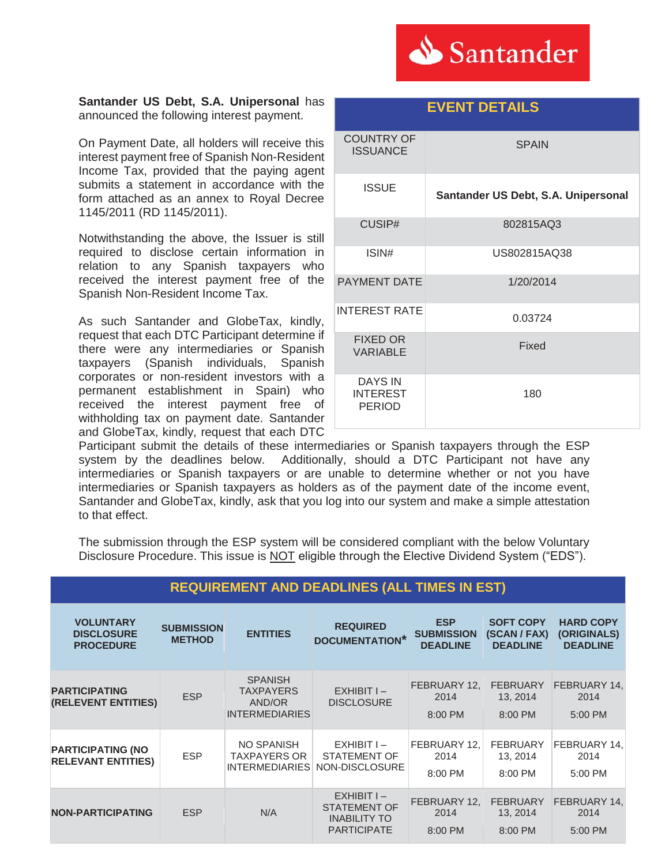

**EVENT DETAILS** 

#### **Santander US Debt, S.A. Unipersonal** has announced the following interest payment.

On Payment Date, all holders will receive this interest payment free of Spanish Non-Resident Income Tax, provided that the paying agent submits a statement in accordance with the form attached as an annex to Royal Decree 1145/2011 (RD 1145/2011).

Notwithstanding the above, the Issuer is still required to disclose certain information in relation to any Spanish taxpayers who received the interest payment free of the Spanish Non-Resident Income Tax.

As such Santander and GlobeTax, kindly, request that each DTC Participant determine if there were any intermediaries or Spanish taxpayers (Spanish individuals, Spanish corporates or non-resident investors with a permanent establishment in Spain) who received the interest payment free of withholding tax on payment date. Santander and GlobeTax, kindly, request that each DTC

| <b>COUNTRY OF</b><br><b>ISSUANCE</b>               | <b>SPAIN</b>                        |  |  |
|----------------------------------------------------|-------------------------------------|--|--|
| <b>ISSUE</b>                                       | Santander US Debt, S.A. Unipersonal |  |  |
| CUSIP#                                             | 802815AQ3                           |  |  |
| ISIN#                                              | US802815AQ38                        |  |  |
| <b>PAYMENT DATE</b>                                | 1/20/2014                           |  |  |
| <b>INTEREST RATE</b>                               | 0.03724                             |  |  |
| <b>FIXED OR</b><br><b>VARIABLE</b>                 | Fixed                               |  |  |
| <b>DAYS IN</b><br><b>INTEREST</b><br><b>PERIOD</b> | 180                                 |  |  |

Participant submit the details of these intermediaries or Spanish taxpayers through the ESP system by the deadlines below. Additionally, should a DTC Participant not have any intermediaries or Spanish taxpayers or are unable to determine whether or not you have intermediaries or Spanish taxpayers as holders as of the payment date of the income event, Santander and GlobeTax, kindly, ask that you log into our system and make a simple attestation to that effect.

The submission through the ESP system will be considered compliant with the below Voluntary Disclosure Procedure. This issue is NOT eligible through the Elective Dividend System ("EDS").

| <b>REQUIREMENT AND DEADLINES (ALL TIMES IN EST)</b>       |                                    |                                                                       |                                                                                  |                                                    |                                                     |                                                    |  |
|-----------------------------------------------------------|------------------------------------|-----------------------------------------------------------------------|----------------------------------------------------------------------------------|----------------------------------------------------|-----------------------------------------------------|----------------------------------------------------|--|
| <b>VOLUNTARY</b><br><b>DISCLOSURE</b><br><b>PROCEDURE</b> | <b>SUBMISSION</b><br><b>METHOD</b> | <b>ENTITIES</b>                                                       | <b>REQUIRED</b><br><b>DOCUMENTATION*</b>                                         | <b>ESP</b><br><b>SUBMISSION</b><br><b>DEADLINE</b> | <b>SOFT COPY</b><br>(SCAN / FAX)<br><b>DEADLINE</b> | <b>HARD COPY</b><br>(ORIGINALS)<br><b>DEADLINE</b> |  |
| <b>PARTICIPATING</b><br><b>(RELEVENT ENTITIES)</b>        | <b>ESP</b>                         | <b>SPANISH</b><br><b>TAXPAYERS</b><br>AND/OR<br><b>INTERMEDIARIES</b> | $EXHIBITI -$<br><b>DISCLOSURE</b>                                                | FEBRUARY 12,<br>2014<br>8:00 PM                    | <b>FEBRUARY</b><br>13, 2014<br>8:00 PM              | FEBRUARY 14,<br>2014<br>5:00 PM                    |  |
| <b>PARTICIPATING (NO</b><br><b>RELEVANT ENTITIES)</b>     | <b>ESP</b>                         | NO SPANISH<br><b>TAXPAYERS OR</b><br><b>INTERMEDIARIES</b>            | $EXHIBITI -$<br>STATEMENT OF<br>NON-DISCLOSURE                                   | FEBRUARY 12,<br>2014<br>8:00 PM                    | <b>FEBRUARY</b><br>13, 2014<br>8:00 PM              | FEBRUARY 14,<br>2014<br>5:00 PM                    |  |
| <b>NON-PARTICIPATING</b>                                  | <b>ESP</b>                         | N/A                                                                   | $EXHIBITI -$<br><b>STATEMENT OF</b><br><b>INABILITY TO</b><br><b>PARTICIPATE</b> | FEBRUARY 12,<br>2014<br>8:00 PM                    | <b>FEBRUARY</b><br>13, 2014<br>8:00 PM              | FEBRUARY 14,<br>2014<br>5:00 PM                    |  |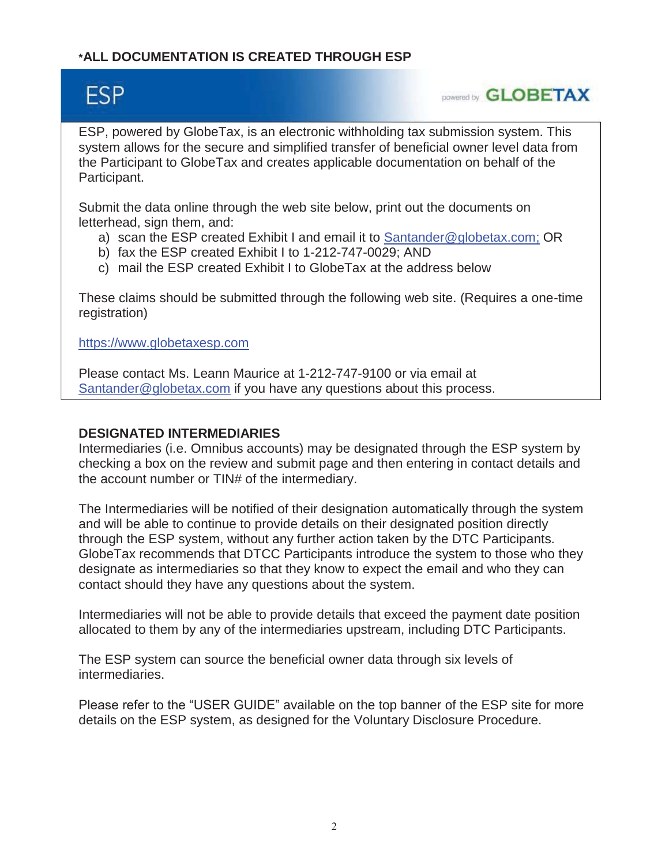# **\*ALL DOCUMENTATION IS CREATED THROUGH ESP**

# **ESP**

**DOWERED by GLOBETAX** 

ESP, powered by GlobeTax, is an electronic withholding tax submission system. This system allows for the secure and simplified transfer of beneficial owner level data from the Participant to GlobeTax and creates applicable documentation on behalf of the Participant.

Submit the data online through the web site below, print out the documents on letterhead, sign them, and:

- a) scan the ESP created Exhibit I and email it to Santander@globetax.com; OR
- b) fax the ESP created Exhibit I to 1-212-747-0029; AND
- c) mail the ESP created Exhibit I to GlobeTax at the address below

These claims should be submitted through the following web site. (Requires a one-time registration)

https://www.globetaxesp.com

Please contact Ms. Leann Maurice at 1-212-747-9100 or via email at Santander@globetax.com if you have any questions about this process.

## **DESIGNATED INTERMEDIARIES**

Intermediaries (i.e. Omnibus accounts) may be designated through the ESP system by checking a box on the review and submit page and then entering in contact details and the account number or TIN# of the intermediary.

The Intermediaries will be notified of their designation automatically through the system and will be able to continue to provide details on their designated position directly through the ESP system, without any further action taken by the DTC Participants. GlobeTax recommends that DTCC Participants introduce the system to those who they designate as intermediaries so that they know to expect the email and who they can contact should they have any questions about the system.

Intermediaries will not be able to provide details that exceed the payment date position allocated to them by any of the intermediaries upstream, including DTC Participants.

The ESP system can source the beneficial owner data through six levels of intermediaries.

Please refer to the "USER GUIDE" available on the top banner of the ESP site for more details on the ESP system, as designed for the Voluntary Disclosure Procedure.